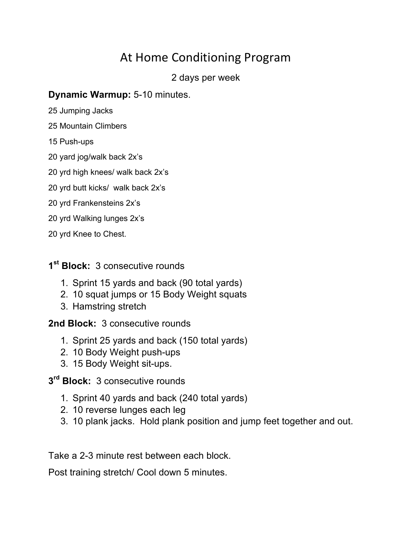# At Home Conditioning Program

#### 2 days per week

### **Dynamic Warmup:** 5-10 minutes.

- 25 Jumping Jacks
- 25 Mountain Climbers
- 15 Push-ups
- 20 yard jog/walk back 2x's
- 20 yrd high knees/ walk back 2x's
- 20 yrd butt kicks/ walk back 2x's
- 20 yrd Frankensteins 2x's
- 20 yrd Walking lunges 2x's
- 20 yrd Knee to Chest.

**1st Block:** 3 consecutive rounds

- 1. Sprint 15 yards and back (90 total yards)
- 2. 10 squat jumps or 15 Body Weight squats
- 3. Hamstring stretch

**2nd Block:** 3 consecutive rounds

- 1. Sprint 25 yards and back (150 total yards)
- 2. 10 Body Weight push-ups
- 3. 15 Body Weight sit-ups.

**3rd Block:** 3 consecutive rounds

- 1. Sprint 40 yards and back (240 total yards)
- 2. 10 reverse lunges each leg
- 3. 10 plank jacks. Hold plank position and jump feet together and out.

Take a 2-3 minute rest between each block.

Post training stretch/ Cool down 5 minutes.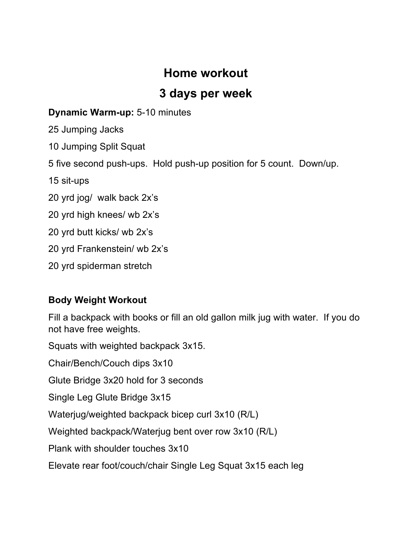# **Home workout**

## **3 days per week**

### **Dynamic Warm-up:** 5-10 minutes

25 Jumping Jacks

10 Jumping Split Squat

5 five second push-ups. Hold push-up position for 5 count. Down/up.

15 sit-ups

20 yrd jog/ walk back 2x's

20 yrd high knees/ wb 2x's

20 yrd butt kicks/ wb 2x's

20 yrd Frankenstein/ wb 2x's

20 yrd spiderman stretch

### **Body Weight Workout**

Fill a backpack with books or fill an old gallon milk jug with water. If you do not have free weights.

Squats with weighted backpack 3x15.

Chair/Bench/Couch dips 3x10

Glute Bridge 3x20 hold for 3 seconds

Single Leg Glute Bridge 3x15

Waterjug/weighted backpack bicep curl 3x10 (R/L)

Weighted backpack/Waterjug bent over row 3x10 (R/L)

Plank with shoulder touches 3x10

Elevate rear foot/couch/chair Single Leg Squat 3x15 each leg